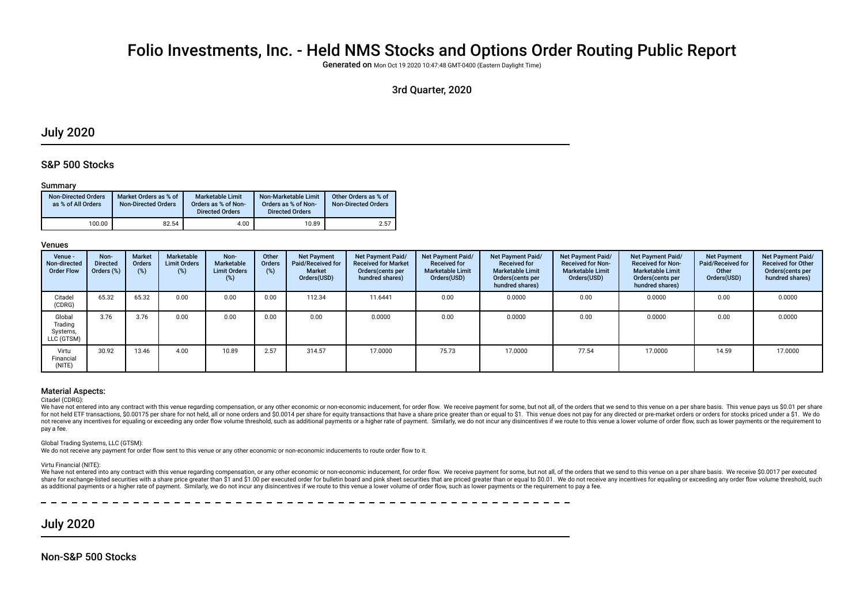# Folio Investments, Inc. - Held NMS Stocks and Options Order Routing Public Report

Generated on Mon Oct 19 2020 10:47:48 GMT-0400 (Eastern Daylight Time)

## 3rd Quarter, 2020

# July 2020

### S&P 500 Stocks

#### Summary

| <b>Non-Directed Orders</b><br>as % of All Orders | Market Orders as % of<br><b>Non-Directed Orders</b> | Marketable Limit<br>Orders as % of Non-<br><b>Directed Orders</b> | Non-Marketable Limit<br>Orders as % of Non-<br><b>Directed Orders</b> | Other Orders as % of<br><b>Non-Directed Orders</b> |
|--------------------------------------------------|-----------------------------------------------------|-------------------------------------------------------------------|-----------------------------------------------------------------------|----------------------------------------------------|
| 100.00                                           | 82.54                                               | 4.00                                                              | 10.89                                                                 | 2.57                                               |

#### Venues

| Venue -<br>Non-directed<br><b>Order Flow</b> | Non-<br><b>Directed</b><br>Orders (%) | <b>Market</b><br><b>Orders</b><br>(%) | Marketable<br><b>Limit Orders</b><br>(%) | Non-<br>Marketable<br><b>Limit Orders</b><br>$(\%)$ | Other<br><b>Orders</b><br>(%) | <b>Net Payment</b><br>Paid/Received for<br>Market<br>Orders(USD) | <b>Net Payment Paid/</b><br><b>Received for Market</b><br>Orders(cents per<br>hundred shares) | Net Payment Paid/<br><b>Received for</b><br><b>Marketable Limit</b><br>Orders(USD) | Net Payment Paid/<br><b>Received for</b><br><b>Marketable Limit</b><br>Orders (cents per<br>hundred shares) | Net Payment Paid/<br><b>Received for Non-</b><br><b>Marketable Limit</b><br>Orders(USD) | Net Payment Paid/<br><b>Received for Non-</b><br><b>Marketable Limit</b><br>Orders (cents per<br>hundred shares) | <b>Net Payment</b><br>Paid/Received for<br>Other<br>Orders(USD) | Net Payment Paid/<br><b>Received for Other</b><br>Orders(cents per<br>hundred shares) |
|----------------------------------------------|---------------------------------------|---------------------------------------|------------------------------------------|-----------------------------------------------------|-------------------------------|------------------------------------------------------------------|-----------------------------------------------------------------------------------------------|------------------------------------------------------------------------------------|-------------------------------------------------------------------------------------------------------------|-----------------------------------------------------------------------------------------|------------------------------------------------------------------------------------------------------------------|-----------------------------------------------------------------|---------------------------------------------------------------------------------------|
| Citadel<br>(CDRG)                            | 65.32                                 | 65.32                                 | 0.00                                     | 0.00                                                | 0.00                          | 112.34                                                           | 11.6441                                                                                       | 0.00                                                                               | 0.0000                                                                                                      | 0.00                                                                                    | 0.0000                                                                                                           | 0.00                                                            | 0.0000                                                                                |
| Global<br>Trading<br>Systems,<br>LLC (GTSM)  | 3.76                                  | 3.76                                  | 0.00                                     | 0.00                                                | 0.00                          | 0.00                                                             | 0.0000                                                                                        | 0.00                                                                               | 0.0000                                                                                                      | 0.00                                                                                    | 0.0000                                                                                                           | 0.00                                                            | 0.0000                                                                                |
| Virtu<br>Financial<br>(NITE)                 | 30.92                                 | 13.46                                 | 4.00                                     | 10.89                                               | 2.57                          | 314.57                                                           | 17.0000                                                                                       | 75.73                                                                              | 17.0000                                                                                                     | 77.54                                                                                   | 17.0000                                                                                                          | 14.59                                                           | 17.0000                                                                               |

#### Material Aspects:

#### Citadel (CDRG):

We have not entered into any contract with this venue regarding compensation, or any other economic or non-economic inducement, for order flow. We receive payment for some, but not all, of the orders that we send to this v for not held ETF transactions, \$0.00175 per share for not held, all or none orders and \$0.0014 per share for equity transactions that have a share price greater than or equal to \$1. This venue does not pay for any directed not receive any incentives for equaling or exceeding any order flow volume threshold, such as additional payments or a higher rate of payment. Similarly, we do not incur any disincentives if we route to this venue a lower pay a fee.

Global Trading Systems, LLC (GTSM):

We do not receive any payment for order fow sent to this venue or any other economic or non-economic inducements to route order fow to it.

#### Virtu Financial (NITE):

We have not entered into any contract with this venue regarding compensation, or any other economic or non-economic inducement, for order flow. We receive payment for some, but not all, of the orders that we send to this v share for exchange-listed securities with a share price greater than \$1 and \$1.00 per executed order for bulletin board and pink sheet securities that are priced greater than or equal to \$0.01. We do not receive any incent as additional payments or a higher rate of payment. Similarly, we do not incur any disincentives if we route to this venue a lower volume of order flow, such as lower payments or the requirement to pay a fee.

# July 2020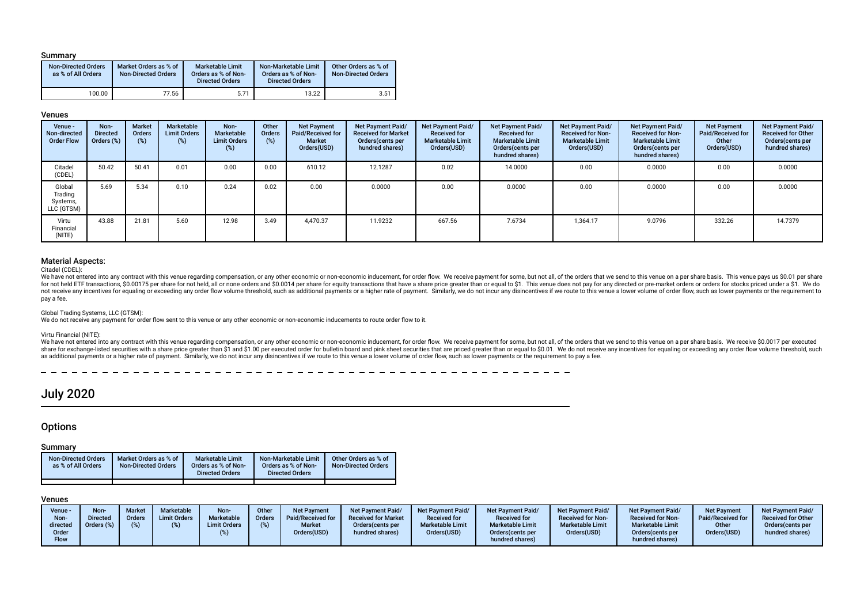#### Summary

| <b>Non-Directed Orders</b><br>as % of All Orders | Market Orders as % of<br><b>Non-Directed Orders</b> | <b>Marketable Limit</b><br>Orders as % of Non-<br><b>Directed Orders</b> | Non-Marketable Limit<br>Orders as % of Non-<br><b>Directed Orders</b> | Other Orders as % of<br><b>Non-Directed Orders</b> |
|--------------------------------------------------|-----------------------------------------------------|--------------------------------------------------------------------------|-----------------------------------------------------------------------|----------------------------------------------------|
| 100.00                                           | 77.56                                               | 5.71                                                                     | 13.22                                                                 | 3.51                                               |

### Venues

| Venue -<br>Non-directed<br><b>Order Flow</b> | Non-<br><b>Directed</b><br>Orders (%) | <b>Market</b><br>Orders<br>(%) | Marketable<br><b>Limit Orders</b><br>$(\%)$ | Non-<br><b>Marketable</b><br><b>Limit Orders</b><br>(%) | Other<br><b>Orders</b><br>(%) | <b>Net Payment</b><br>Paid/Received for<br><b>Market</b><br>Orders(USD) | Net Payment Paid/<br><b>Received for Market</b><br>Orders (cents per<br>hundred shares) | Net Payment Paid/<br><b>Received for</b><br><b>Marketable Limit</b><br>Orders(USD) | Net Payment Paid/<br><b>Received for</b><br><b>Marketable Limit</b><br>Orders (cents per<br>hundred shares) | Net Payment Paid/<br><b>Received for Non-</b><br><b>Marketable Limit</b><br>Orders(USD) | Net Payment Paid/<br><b>Received for Non-</b><br><b>Marketable Limit</b><br>Orders(cents per<br>hundred shares) | <b>Net Payment</b><br>Paid/Received for<br>Other<br>Orders(USD) | <b>Net Payment Paid/</b><br><b>Received for Other</b><br>Orders(cents per<br>hundred shares) |
|----------------------------------------------|---------------------------------------|--------------------------------|---------------------------------------------|---------------------------------------------------------|-------------------------------|-------------------------------------------------------------------------|-----------------------------------------------------------------------------------------|------------------------------------------------------------------------------------|-------------------------------------------------------------------------------------------------------------|-----------------------------------------------------------------------------------------|-----------------------------------------------------------------------------------------------------------------|-----------------------------------------------------------------|----------------------------------------------------------------------------------------------|
| Citadel<br>(CDEL)                            | 50.42                                 | 50.41                          | 0.01                                        | 0.00                                                    | 0.00                          | 610.12                                                                  | 12.1287                                                                                 | 0.02                                                                               | 14.0000                                                                                                     | 0.00                                                                                    | 0.0000                                                                                                          | 0.00                                                            | 0.0000                                                                                       |
| Global<br>Trading<br>Systems,<br>LLC (GTSM)  | 5.69                                  | 5.34                           | 0.10                                        | 0.24                                                    | 0.02                          | 0.00                                                                    | 0.0000                                                                                  | 0.00                                                                               | 0.0000                                                                                                      | 0.00                                                                                    | 0.0000                                                                                                          | 0.00                                                            | 0.0000                                                                                       |
| Virtu<br>Financial<br>(NITE)                 | 43.88                                 | 21.81                          | 5.60                                        | 12.98                                                   | 3.49                          | 4,470.37                                                                | 11.9232                                                                                 | 667.56                                                                             | 7.6734                                                                                                      | 1,364.17                                                                                | 9.0796                                                                                                          | 332.26                                                          | 14.7379                                                                                      |

#### Material Aspects:

Citadel (CDEL):

We have not entered into any contract with this venue regarding compensation, or any other economic or non-economic inducement, for order flow. We receive payment for some, but not all, of the orders that we send to this v for not held ETF transactions, \$0.00175 per share for not held, all or none orders and \$0.0014 per share for equity transactions that have a share price greater than or equal to \$1. This venue does not pay for any directed not receive any incentives for equaling or exceeding any order flow volume threshold, such as additional payments or a higher rate of payment. Similarly, we do not incur any disincentives if we route to this venue a lower pay a fee.

#### Global Trading Systems, LLC (GTSM):

We do not receive any payment for order fow sent to this venue or any other economic or non-economic inducements to route order fow to it.

#### Virtu Financial (NITE):

We have not entered into any contract with this venue regarding compensation, or any other economic or non-economic inducement, for order flow. We receive payment for some, but not all, of the orders that we send to this v share for exchange-listed securities with a share price greater than \$1 and \$1.00 per executed order for bulletin board and pink sheet securities that are priced greater than or equal to \$0.01. We do not receive any incent as additional payments or a higher rate of payment. Similarly, we do not incur any disincentives if we route to this venue a lower volume of order flow, such as lower payments or the requirement to pay a fee.

 $\sim$ 

# July 2020

### **Options**

#### Summary

| <b>Non-Directed Orders</b><br>as % of All Orders | Market Orders as % of<br><b>Non-Directed Orders</b> | <b>Marketable Limit</b><br>Orders as % of Non-<br>Directed Orders | Non-Marketable Limit<br>Orders as % of Non-<br><b>Directed Orders</b> | Other Orders as % of<br><b>Non-Directed Orders</b> |
|--------------------------------------------------|-----------------------------------------------------|-------------------------------------------------------------------|-----------------------------------------------------------------------|----------------------------------------------------|
|                                                  |                                                     |                                                                   |                                                                       |                                                    |

### Venues

| Venue<br>Paid/Received for<br>Non-<br>Marketable<br>Paid/Received for<br><b>Limit Orders</b><br><b>Received for</b><br><b>Received for Non-</b><br><b>Received for Non-</b><br><b>Received for Market</b><br><b>Received for</b><br><b>Orders</b><br><b>Directed</b><br><b>Orders</b><br><b>Marketable Limit</b><br><b>Marketable Limit</b><br><b>Marketable Limit</b><br><b>Marketable Limit</b><br><b>Market</b><br>directed<br><b>Limit Orders</b><br>Orders (%)<br>Orders (cents per<br>Other<br>Orders(USD)<br>Orders(USD)<br>Orders(USD)<br>Orders(USD)<br>Orders (cents per<br>Orders (cents per<br>hundred shares)<br>Order<br><b>Flow</b><br>hundred shares)<br>hundred shares) | <b>Market</b><br><b>Non</b> | Marketable<br>Other<br>Non- | <b>Net Payment Paid/</b><br>Net Payment | Net Payment Paid/<br><b>Net Payment Paid/</b> | Net Payment Paid/<br><b>Net Payment Paid/</b> | <b>Net Payment Paid/</b><br><b>Net Payment</b><br><b>Received for Other</b><br>Orders(cents per<br>hundred shares) |
|------------------------------------------------------------------------------------------------------------------------------------------------------------------------------------------------------------------------------------------------------------------------------------------------------------------------------------------------------------------------------------------------------------------------------------------------------------------------------------------------------------------------------------------------------------------------------------------------------------------------------------------------------------------------------------------|-----------------------------|-----------------------------|-----------------------------------------|-----------------------------------------------|-----------------------------------------------|--------------------------------------------------------------------------------------------------------------------|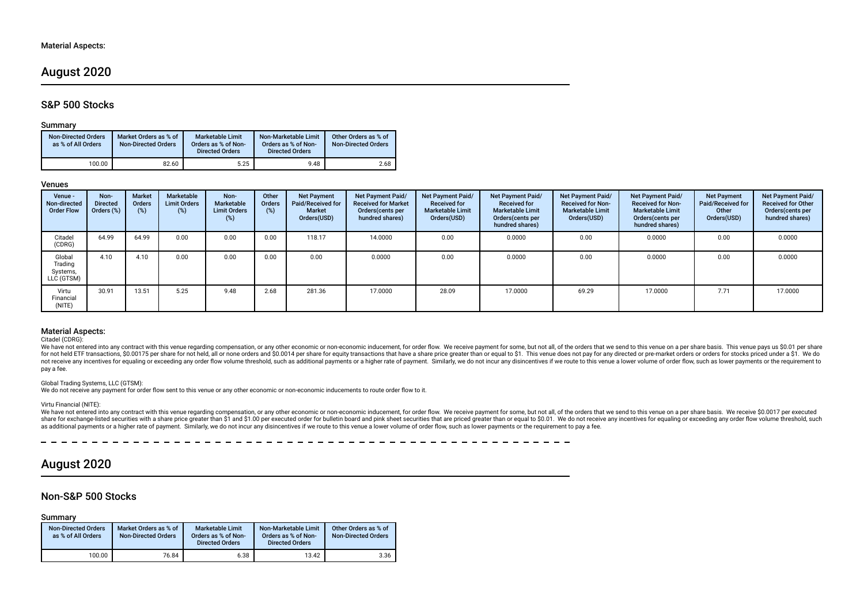# August 2020

### S&P 500 Stocks

#### Summary

| <b>Non-Directed Orders</b><br>as % of All Orders | Market Orders as % of<br><b>Non-Directed Orders</b> | <b>Marketable Limit</b><br>Orders as % of Non-<br><b>Directed Orders</b> | Non-Marketable Limit<br>Orders as % of Non-<br><b>Directed Orders</b> | Other Orders as % of<br><b>Non-Directed Orders</b> |
|--------------------------------------------------|-----------------------------------------------------|--------------------------------------------------------------------------|-----------------------------------------------------------------------|----------------------------------------------------|
| 100.00                                           | 82.60                                               | 5.25                                                                     | 9.48                                                                  | 2.68                                               |

#### Venues

| Venue -<br>Non-directed<br><b>Order Flow</b> | Non-<br><b>Directed</b><br>Orders (%) | <b>Market</b><br><b>Orders</b><br>(%) | Marketable<br><b>Limit Orders</b><br>$(\%)$ | Non-<br>Marketable<br><b>Limit Orders</b><br>$(\%)$ | Other<br>Orders<br>(%) | <b>Net Payment</b><br>Paid/Received for<br>Market<br>Orders(USD) | Net Payment Paid/<br><b>Received for Market</b><br>Orders (cents per<br>hundred shares) | <b>Net Payment Paid/</b><br><b>Received for</b><br><b>Marketable Limit</b><br>Orders(USD) | <b>Net Payment Paid/</b><br><b>Received for</b><br><b>Marketable Limit</b><br>Orders (cents per<br>hundred shares) | Net Payment Paid/<br><b>Received for Non-</b><br><b>Marketable Limit</b><br>Orders(USD) | Net Payment Paid/<br><b>Received for Non-</b><br><b>Marketable Limit</b><br>Orders (cents per<br>hundred shares) | <b>Net Payment</b><br>Paid/Received for<br>Other<br>Orders(USD) | Net Payment Paid/<br><b>Received for Other</b><br>Orders(cents per<br>hundred shares) |
|----------------------------------------------|---------------------------------------|---------------------------------------|---------------------------------------------|-----------------------------------------------------|------------------------|------------------------------------------------------------------|-----------------------------------------------------------------------------------------|-------------------------------------------------------------------------------------------|--------------------------------------------------------------------------------------------------------------------|-----------------------------------------------------------------------------------------|------------------------------------------------------------------------------------------------------------------|-----------------------------------------------------------------|---------------------------------------------------------------------------------------|
| Citadel<br>(CDRG)                            | 64.99                                 | 64.99                                 | 0.00                                        | 0.00                                                | 0.00                   | 118.17                                                           | 14.0000                                                                                 | 0.00                                                                                      | 0.0000                                                                                                             | 0.00                                                                                    | 0.0000                                                                                                           | 0.00                                                            | 0.0000                                                                                |
| Global<br>Trading<br>Systems,<br>LLC (GTSM)  | 4.10                                  | 4.10                                  | 0.00                                        | 0.00                                                | 0.00                   | 0.00                                                             | 0.0000                                                                                  | 0.00                                                                                      | 0.0000                                                                                                             | 0.00                                                                                    | 0.0000                                                                                                           | 0.00                                                            | 0.0000                                                                                |
| Virtu<br>Financial<br>(NITE)                 | 30.91                                 | 13.51                                 | 5.25                                        | 9.48                                                | 2.68                   | 281.36                                                           | 17.0000                                                                                 | 28.09                                                                                     | 17.0000                                                                                                            | 69.29                                                                                   | 17.0000                                                                                                          | 7.71                                                            | 17.0000                                                                               |

### Material Aspects:

#### Citadel (CDRG):

We have not entered into any contract with this venue regarding compensation, or any other economic or non-economic inducement, for order flow. We receive payment for some, but not all, of the orders that we send to this v not receive any incentives for equaling or exceeding any order flow volume threshold, such as additional payments or a higher rate of payment. Similarly, we do not incur any disincentives if we route to this venue a lower pay a fee.

#### Global Trading Systems, LLC (GTSM):

We do not receive any payment for order fow sent to this venue or any other economic or non-economic inducements to route order fow to it.

#### Virtu Financial (NITE):

We have not entered into any contract with this venue regarding compensation, or any other economic or non-economic inducement, for order flow. We receive payment for some, but not all, of the orders that we send to this v share for exchange-listed securities with a share price greater than \$1 and \$1.00 per executed order for bulletin board and pink sheet securities that are priced greater than or equal to \$0.01. We do not receive any incent as additional payments or a higher rate of payment. Similarly, we do not incur any disincentives if we route to this venue a lower volume of order flow, such as lower payments or the requirement to pay a fee.

# August 2020

### Non-S&P 500 Stocks

#### Summary

| <b>Non-Directed Orders</b><br>as % of All Orders | Market Orders as % of<br><b>Non-Directed Orders</b> | <b>Marketable Limit</b><br>Orders as % of Non-<br><b>Directed Orders</b> | Non-Marketable Limit<br>Orders as % of Non-<br><b>Directed Orders</b> | Other Orders as % of<br><b>Non-Directed Orders</b> |
|--------------------------------------------------|-----------------------------------------------------|--------------------------------------------------------------------------|-----------------------------------------------------------------------|----------------------------------------------------|
| 100.00                                           | 76.84                                               | 6.38                                                                     | 13.42                                                                 | 3.36                                               |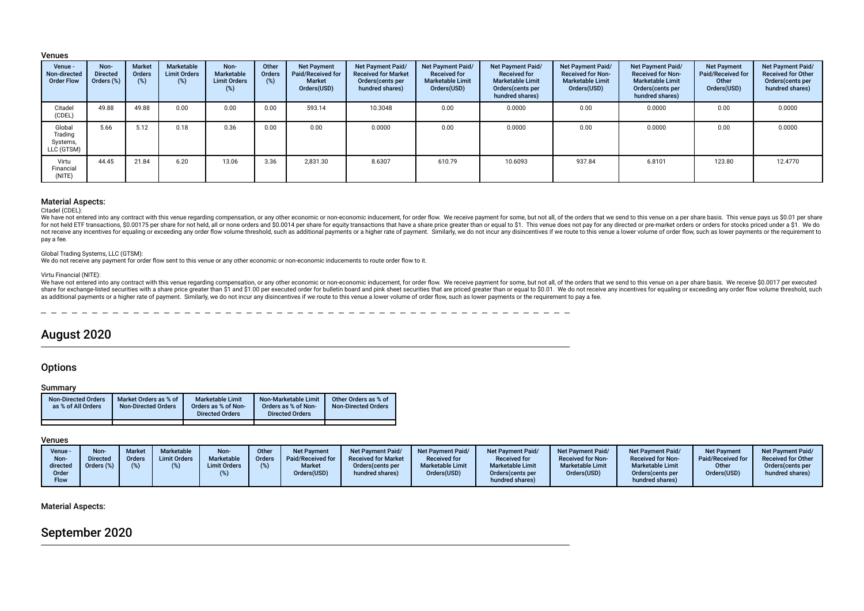#### Venues

| Venue -<br>Non-directed<br><b>Order Flow</b> | Non-<br><b>Directed</b><br>Orders (%) | <b>Market</b><br><b>Orders</b><br>$(\%)$ | Marketable<br><b>Limit Orders</b><br>(%) | Non-<br>Marketable<br><b>Limit Orders</b><br>(%) | Other<br><b>Orders</b><br>(%) | <b>Net Payment</b><br>Paid/Received for<br><b>Market</b><br>Orders(USD) | Net Payment Paid/<br><b>Received for Market</b><br>Orders(cents per<br>hundred shares) | Net Payment Paid/<br><b>Received for</b><br><b>Marketable Limit</b><br>Orders(USD) | <b>Net Payment Paid/</b><br><b>Received for</b><br><b>Marketable Limit</b><br>Orders (cents per<br>hundred shares) | Net Payment Paid/<br><b>Received for Non-</b><br><b>Marketable Limit</b><br>Orders(USD) | Net Payment Paid/<br><b>Received for Non-</b><br><b>Marketable Limit</b><br>Orders (cents per<br>hundred shares) | <b>Net Payment</b><br>Paid/Received for<br>Other<br>Orders(USD) | Net Payment Paid/<br><b>Received for Other</b><br>Orders(cents per<br>hundred shares) |
|----------------------------------------------|---------------------------------------|------------------------------------------|------------------------------------------|--------------------------------------------------|-------------------------------|-------------------------------------------------------------------------|----------------------------------------------------------------------------------------|------------------------------------------------------------------------------------|--------------------------------------------------------------------------------------------------------------------|-----------------------------------------------------------------------------------------|------------------------------------------------------------------------------------------------------------------|-----------------------------------------------------------------|---------------------------------------------------------------------------------------|
| Citadel<br>(CDEL)                            | 49.88                                 | 49.88                                    | 0.00                                     | 0.00                                             | 0.00                          | 593.14                                                                  | 10.3048                                                                                | 0.00                                                                               | 0.0000                                                                                                             | 0.00                                                                                    | 0.0000                                                                                                           | 0.00                                                            | 0.0000                                                                                |
| Global<br>Trading<br>Systems,<br>LLC (GTSM)  | 5.66                                  | 5.12                                     | 0.18                                     | 0.36                                             | 0.00                          | 0.00                                                                    | 0.0000                                                                                 | 0.00                                                                               | 0.0000                                                                                                             | 0.00                                                                                    | 0.0000                                                                                                           | 0.00                                                            | 0.0000                                                                                |
| Virtu<br>Financial<br>(NITE)                 | 44.45                                 | 21.84                                    | 6.20                                     | 13.06                                            | 3.36                          | 2.831.30                                                                | 8.6307                                                                                 | 610.79                                                                             | 10.6093                                                                                                            | 937.84                                                                                  | 6.8101                                                                                                           | 123.80                                                          | 12.4770                                                                               |

#### Material Aspects:

Citadel (CDEL):

We have not entered into any contract with this venue regarding compensation, or any other economic or non-economic inducement, for order flow. We receive payment for some, but not all, of the orders that we send to this v for not held ETF transactions, \$0.00175 per share for not held, all or none orders and \$0.0014 per share for equity transactions that have a share price greater than or equal to \$1. This venue does not pay for any directed not receive any incentives for equaling or exceeding any order flow volume threshold, such as additional payments or a higher rate of payment. Similarly, we do not incur any disincentives if we route to this venue a lower pay a fee.

#### Global Trading Systems, LLC (GTSM):

We do not receive any payment for order flow sent to this venue or any other economic or non-economic inducements to route order flow to it.

#### Virtu Financial (NITE):

We have not entered into any contract with this venue regarding compensation, or any other economic or non-economic inducement, for order flow. We receive payment for some, but not all, of the orders that we send to this v share for exchange-listed securities with a share price greater than \$1 and \$1.00 per executed order for bulletin board and pink sheet securities that are priced greater than or equal to \$0.01. We do not receive any incent as additional payments or a higher rate of payment. Similarly, we do not incur any disincentives if we route to this venue a lower volume of order flow, such as lower payments or the requirement to pay a fee.

\_\_\_\_\_\_\_\_\_\_\_\_\_\_\_\_\_\_\_

# August 2020

#### **Options**

#### Summary

| <b>Non-Directed Orders</b><br>as % of All Orders | Market Orders as % of<br><b>Non-Directed Orders</b> | <b>Marketable Limit</b><br>Orders as % of Non-<br><b>Directed Orders</b> | Non-Marketable Limit<br>Orders as % of Non-<br><b>Directed Orders</b> | Other Orders as % of<br><b>Non-Directed Orders</b> |
|--------------------------------------------------|-----------------------------------------------------|--------------------------------------------------------------------------|-----------------------------------------------------------------------|----------------------------------------------------|
|                                                  |                                                     |                                                                          |                                                                       |                                                    |

### Venues

| Venue \<br>Non-<br>directed<br>Order<br>Flow | <b>Non-</b><br><b>Directed</b><br>Orders $(\%)$ | Market<br><b>Orders</b> | Marketable<br><b>Limit Orders</b> | Non-<br>Marketable<br><b>Limit Orders</b> | Other<br><b>Orders</b> | <b>Net Payment</b><br><b>I</b> Paid/Received for<br><b>Market</b><br>Orders(USD) | <b>Net Payment Paid/</b><br><b>Received for Market</b><br>Orders (cents per<br>hundred shares) | Net Payment Paid/<br><b>Received for</b><br><b>Marketable Limit</b><br>Orders(USD) | <b>Net Payment Paid/</b><br><b>Received for</b><br><b>Marketable Limit</b><br>Orders (cents per<br>hundred shares) | Net Payment Paid/<br><b>Received for Non-</b><br><b>Marketable Limit</b><br>Orders(USD) | <b>Net Payment Paid/</b><br><b>Received for Non-</b><br><b>Marketable Limit</b><br>Orders(cents per<br>hundred shares) | <b>Net Payment</b><br>Paid/Received for<br>Other<br>Orders(USD) | Net Payment Paid/<br><b>Received for Other</b><br>Orders(cents per<br>hundred shares) |
|----------------------------------------------|-------------------------------------------------|-------------------------|-----------------------------------|-------------------------------------------|------------------------|----------------------------------------------------------------------------------|------------------------------------------------------------------------------------------------|------------------------------------------------------------------------------------|--------------------------------------------------------------------------------------------------------------------|-----------------------------------------------------------------------------------------|------------------------------------------------------------------------------------------------------------------------|-----------------------------------------------------------------|---------------------------------------------------------------------------------------|
|                                              |                                                 |                         |                                   |                                           |                        |                                                                                  |                                                                                                |                                                                                    |                                                                                                                    |                                                                                         |                                                                                                                        |                                                                 |                                                                                       |

### Material Aspects:

# September 2020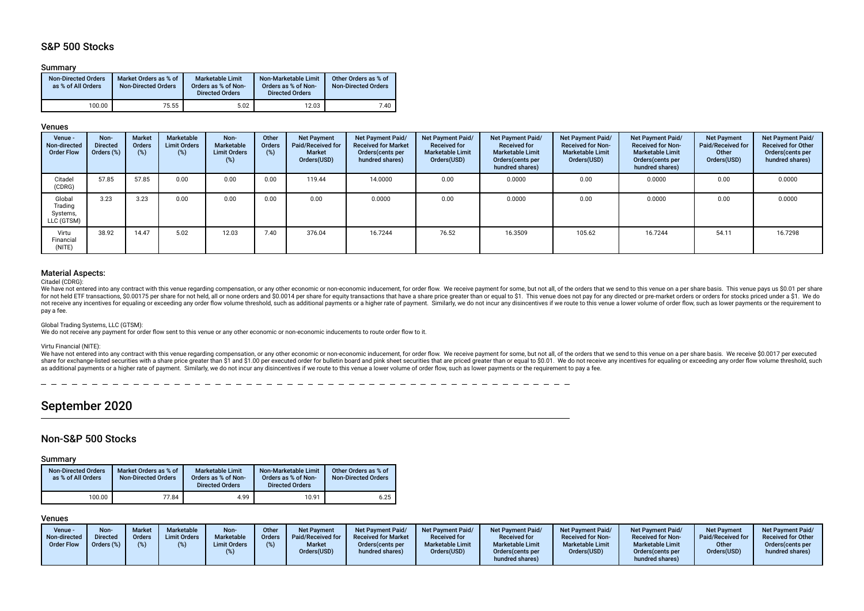# S&P 500 Stocks

#### Summary

| <b>Non-Directed Orders</b><br>as % of All Orders | Market Orders as % of<br><b>Non-Directed Orders</b> | <b>Marketable Limit</b><br>Orders as % of Non-<br><b>Directed Orders</b> | Non-Marketable Limit<br>Orders as % of Non-<br><b>Directed Orders</b> | Other Orders as % of<br><b>Non-Directed Orders</b> |
|--------------------------------------------------|-----------------------------------------------------|--------------------------------------------------------------------------|-----------------------------------------------------------------------|----------------------------------------------------|
| 100.00                                           | 75.55                                               | 5.02                                                                     | 12.03                                                                 | 7.40                                               |

#### Venues

| Venue -<br>Non-directed<br><b>Order Flow</b> | Non-<br><b>Directed</b><br>Orders (%) | <b>Market</b><br>Orders<br>(%) | Marketable<br><b>Limit Orders</b><br>$(\%)$ | Non-<br>Marketable<br><b>Limit Orders</b><br>(%) | Other<br><b>Orders</b><br>(%) | <b>Net Payment</b><br>Paid/Received for<br><b>Market</b><br>Orders(USD) | Net Payment Paid/<br><b>Received for Market</b><br>Orders (cents per<br>hundred shares) | Net Payment Paid/<br><b>Received for</b><br><b>Marketable Limit</b><br>Orders(USD) | Net Payment Paid/<br><b>Received for</b><br><b>Marketable Limit</b><br>Orders (cents per<br>hundred shares) | Net Payment Paid/<br><b>Received for Non-</b><br><b>Marketable Limit</b><br>Orders(USD) | Net Payment Paid/<br><b>Received for Non-</b><br><b>Marketable Limit</b><br>Orders (cents per<br>hundred shares) | <b>Net Payment</b><br>Paid/Received for<br>Other<br>Orders(USD) | Net Payment Paid/<br><b>Received for Other</b><br>Orders(cents per<br>hundred shares) |
|----------------------------------------------|---------------------------------------|--------------------------------|---------------------------------------------|--------------------------------------------------|-------------------------------|-------------------------------------------------------------------------|-----------------------------------------------------------------------------------------|------------------------------------------------------------------------------------|-------------------------------------------------------------------------------------------------------------|-----------------------------------------------------------------------------------------|------------------------------------------------------------------------------------------------------------------|-----------------------------------------------------------------|---------------------------------------------------------------------------------------|
| Citadel<br>(CDRG)                            | 57.85                                 | 57.85                          | 0.00                                        | 0.00                                             | 0.00                          | 119.44                                                                  | 14.0000                                                                                 | 0.00                                                                               | 0.0000                                                                                                      | 0.00                                                                                    | 0.0000                                                                                                           | 0.00                                                            | 0.0000                                                                                |
| Global<br>Trading<br>Systems,<br>LLC (GTSM)  | 3.23                                  | 3.23                           | 0.00                                        | 0.00                                             | 0.00                          | 0.00                                                                    | 0.0000                                                                                  | 0.00                                                                               | 0.0000                                                                                                      | 0.00                                                                                    | 0.0000                                                                                                           | 0.00                                                            | 0.0000                                                                                |
| Virtu<br>Financial<br>(NITE)                 | 38.92                                 | 14.47                          | 5.02                                        | 12.03                                            | 7.40                          | 376.04                                                                  | 16.7244                                                                                 | 76.52                                                                              | 16.3509                                                                                                     | 105.62                                                                                  | 16.7244                                                                                                          | 54.11                                                           | 16.7298                                                                               |

### Material Aspects:

#### Citadel (CDRG):

We have not entered into any contract with this venue regarding compensation, or any other economic or non-economic inducement, for order flow. We receive payment for some, but not all, of the orders that we send to this v for not held ETF transactions, \$0.00175 per share for not held, all or none orders and \$0.0014 per share for equity transactions that have a share price greater than or equal to \$1. This venue does not pay for any directed not receive any incentives for equaling or exceeding any order flow volume threshold, such as additional payments or a higher rate of payment. Similarly, we do not incur any disincentives if we route to this venue a lower pay a fee.

#### Global Trading Systems, LLC (GTSM):

We do not receive any payment for order flow sent to this venue or any other economic or non-economic inducements to route order flow to it.

#### Virtu Financial (NITE):

We have not entered into any contract with this venue regarding compensation, or any other economic or non-economic inducement, for order flow. We receive payment for some, but not all, of the orders that we send to this v share for exchange-listed securities with a share price greater than \$1,00 per executed order for bulletin board and bink sheet securities that are priced greater than or equal to \$0,01. We do not receive any incentives fo as additional payments or a higher rate of payment. Similarly, we do not incur any disincentives if we route to this venue a lower volume of order flow, such as lower payments or the requirement to pay a fee.

# September 2020

### Non-S&P 500 Stocks

#### Summary

| <b>Non-Directed Orders</b><br>as % of All Orders | Market Orders as % of<br><b>Non-Directed Orders</b> | Marketable Limit<br>Orders as % of Non-<br><b>Directed Orders</b> | Non-Marketable Limit<br>Orders as % of Non-<br><b>Directed Orders</b> | Other Orders as % of<br><b>Non-Directed Orders</b> |
|--------------------------------------------------|-----------------------------------------------------|-------------------------------------------------------------------|-----------------------------------------------------------------------|----------------------------------------------------|
| 100.00                                           | 77.84                                               | 4.99                                                              | 10.91                                                                 | 6.25                                               |

### Venues

| Venue -<br>Non-directed<br><b>Order Flow</b> | Non-<br><b>Market</b><br><b>Directed</b><br>Orders<br>Orders (%) | Marketable<br><b>Limit Orders</b> | Non-<br><b>Marketable</b><br><b>Limit Orders</b> | Other<br><b>Orders</b><br>$(\%)$ | <b>Net Payment</b><br>Paid/Received for<br><b>Market</b><br>Orders(USD) | Net Payment Paid/<br><b>Received for Market</b><br>Orders (cents per<br>hundred shares) | <b>Net Payment Paid/</b><br><b>Received for</b><br><b>Marketable Limit</b><br>Orders(USD) | Net Payment Paid/<br><b>Received for</b><br><b>Marketable Limit</b><br>Orders(cents per<br>hundred shares) | <b>Net Payment Paid/</b><br><b>Received for Non-</b><br><b>Marketable Limit</b><br>Orders(USD) | <b>Net Payment Paid/</b><br><b>Received for Non-</b><br><b>Marketable Limit</b><br>Orders(cents per<br>hundred shares) | Net Payment<br><b>Paid/Received for</b><br>Other<br>Orders(USD) | <b>Net Payment Paid/</b><br><b>Received for Other</b><br>Orders(cents per<br>hundred shares) |
|----------------------------------------------|------------------------------------------------------------------|-----------------------------------|--------------------------------------------------|----------------------------------|-------------------------------------------------------------------------|-----------------------------------------------------------------------------------------|-------------------------------------------------------------------------------------------|------------------------------------------------------------------------------------------------------------|------------------------------------------------------------------------------------------------|------------------------------------------------------------------------------------------------------------------------|-----------------------------------------------------------------|----------------------------------------------------------------------------------------------|
|----------------------------------------------|------------------------------------------------------------------|-----------------------------------|--------------------------------------------------|----------------------------------|-------------------------------------------------------------------------|-----------------------------------------------------------------------------------------|-------------------------------------------------------------------------------------------|------------------------------------------------------------------------------------------------------------|------------------------------------------------------------------------------------------------|------------------------------------------------------------------------------------------------------------------------|-----------------------------------------------------------------|----------------------------------------------------------------------------------------------|